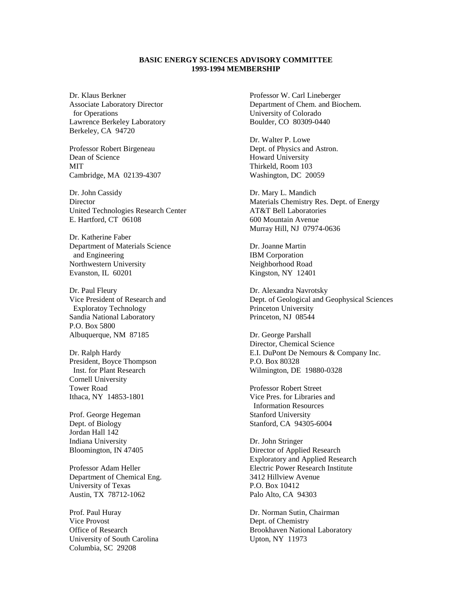## **BASIC ENERGY SCIENCES ADVISORY COMMITTEE 1993-1994 MEMBERSHIP**

Dr. Klaus Berkner Associate Laboratory Director for Operations Lawrence Berkeley Laboratory Berkeley, CA 94720

Professor Robert Birgeneau Dean of Science **MIT** Cambridge, MA 02139-4307

Dr. John Cassidy **Director** United Technologies Research Center E. Hartford, CT 06108

Dr. Katherine Faber Department of Materials Science and Engineering Northwestern University Evanston, IL 60201

Dr. Paul Fleury Vice President of Research and Exploratoy Technology Sandia National Laboratory P.O. Box 5800 Albuquerque, NM 87185

Dr. Ralph Hardy President, Boyce Thompson Inst. for Plant Research Cornell University Tower Road Ithaca, NY 14853-1801

Prof. George Hegeman Dept. of Biology Jordan Hall 142 Indiana University Bloomington, IN 47405

Professor Adam Heller Department of Chemical Eng. University of Texas Austin, TX 78712-1062

Prof. Paul Huray Vice Provost Office of Research University of South Carolina Columbia, SC 29208

Professor W. Carl Lineberger Department of Chem. and Biochem. University of Colorado Boulder, CO 80309-0440

Dr. Walter P. Lowe Dept. of Physics and Astron. Howard University Thirkeld, Room 103 Washington, DC 20059

Dr. Mary L. Mandich Materials Chemistry Res. Dept. of Energy AT&T Bell Laboratories 600 Mountain Avenue Murray Hill, NJ 07974-0636

Dr. Joanne Martin IBM Corporation Neighborhood Road Kingston, NY 12401

Dr. Alexandra Navrotsky Dept. of Geological and Geophysical Sciences Princeton University Princeton, NJ 08544

Dr. George Parshall Director, Chemical Science E.I. DuPont De Nemours & Company Inc. P.O. Box 80328 Wilmington, DE 19880-0328

Professor Robert Street Vice Pres. for Libraries and Information Resources Stanford University Stanford, CA 94305-6004

Dr. John Stringer Director of Applied Research Exploratory and Applied Research Electric Power Research Institute 3412 Hillview Avenue P.O. Box 10412 Palo Alto, CA 94303

Dr. Norman Sutin, Chairman Dept. of Chemistry Brookhaven National Laboratory Upton, NY 11973